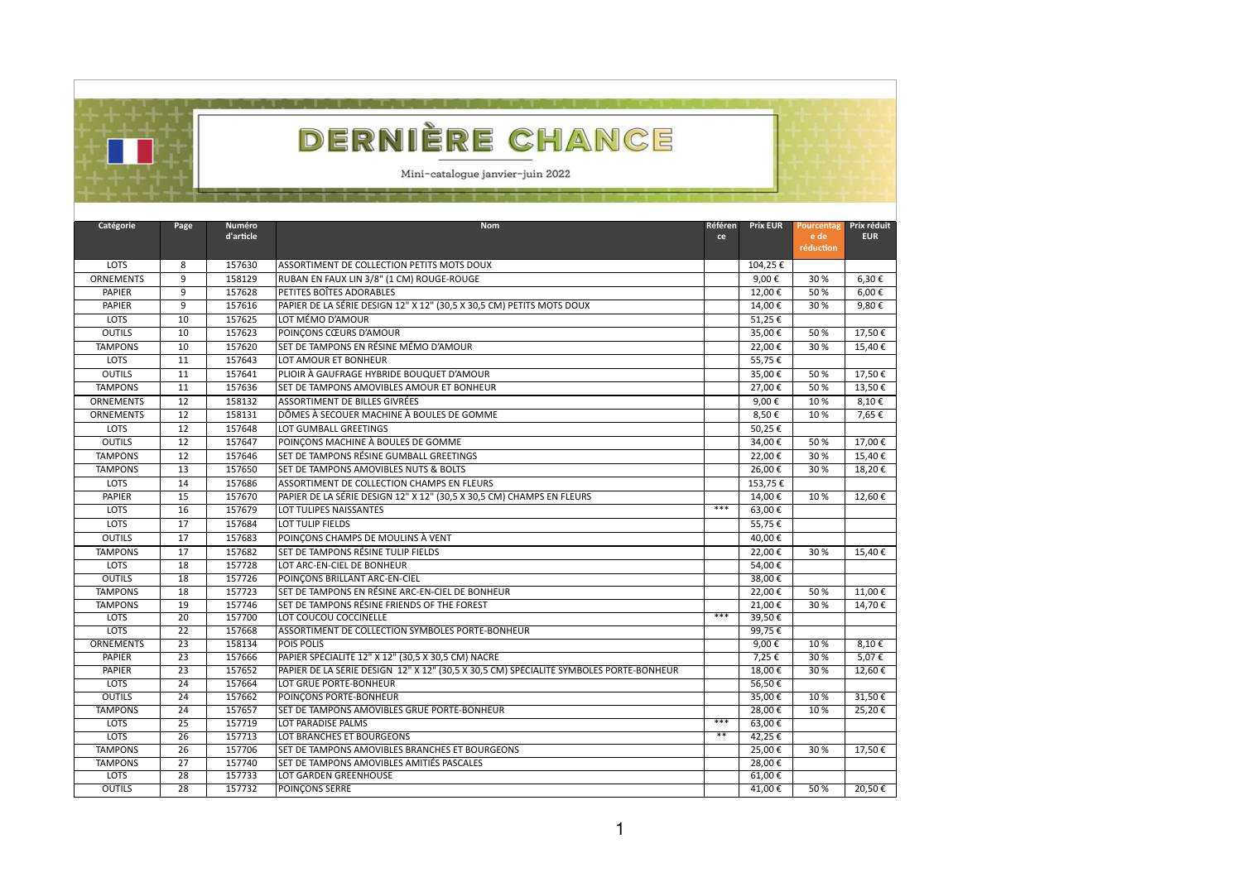| ERNIERE CHAI<br>$\overline{\phantom{a}}$<br>Mini-catalogue janvier-juin 2022 |
|------------------------------------------------------------------------------|
|                                                                              |

| <b>Catégorie</b> | Page            | <b>Numéro</b><br>d'article | <b>Nom</b>                                                                             | <b>Référen</b><br>ce | <b>Prix EUR</b>  | Pourcentag<br>e de<br>réduction | Prix réduit<br><b>EUR</b> |
|------------------|-----------------|----------------------------|----------------------------------------------------------------------------------------|----------------------|------------------|---------------------------------|---------------------------|
| <b>LOTS</b>      | 8               | 157630                     | ASSORTIMENT DE COLLECTION PETITS MOTS DOUX                                             |                      | 104,25€          |                                 |                           |
| <b>ORNEMENTS</b> | 9               | 158129                     | RUBAN EN FAUX LIN 3/8" (1 CM) ROUGE-ROUGE                                              |                      | 9,00€            | 30%                             | $6,30 \in$                |
| <b>PAPIER</b>    | 9               | 157628                     | PETITES BOÎTES ADORABLES                                                               |                      | 12,00€           | 50%                             | $6,00 \in$                |
| <b>PAPIER</b>    | 9               | 157616                     | PAPIER DE LA SÉRIE DESIGN 12" X 12" (30,5 X 30,5 CM) PETITS MOTS DOUX                  |                      | 14,00€           | 30%                             | 9,80 $\epsilon$           |
| <b>LOTS</b>      | 10              | 157625                     | LOT MÉMO D'AMOUR                                                                       |                      | 51,25€           |                                 |                           |
| <b>OUTILS</b>    | 10              | 157623                     | POINÇONS CŒURS D'AMOUR                                                                 |                      | 35,00€           | 50%                             | 17,50€                    |
| <b>TAMPONS</b>   | 10              | 157620                     | SET DE TAMPONS EN RÉSINE MÉMO D'AMOUR                                                  |                      | 22,00€           | 30%                             | 15,40 €                   |
| <b>LOTS</b>      | 11              | 157643                     | LOT AMOUR ET BONHEUR                                                                   |                      | 55,75€           |                                 |                           |
| <b>OUTILS</b>    | 11              | 157641                     | PLIOIR À GAUFRAGE HYBRIDE BOUQUET D'AMOUR                                              |                      | 35,00€           | 50%                             | 17,50€                    |
| <b>TAMPONS</b>   | 11              | 157636                     | SET DE TAMPONS AMOVIBLES AMOUR ET BONHEUR                                              |                      | 27,00€           | 50%                             | 13,50€                    |
| <b>ORNEMENTS</b> | 12              | 158132                     | <b>ASSORTIMENT DE BILLES GIVRÉES</b>                                                   |                      | 9,00€            | 10%                             | 8,10€                     |
| <b>ORNEMENTS</b> | 12              | 158131                     | DÔMES À SECOUER MACHINE À BOULES DE GOMME                                              |                      | 8,50€            | 10%                             | 7,65€                     |
| <b>LOTS</b>      | 12              | 157648                     | LOT GUMBALL GREETINGS                                                                  |                      | 50,25€           |                                 |                           |
| <b>OUTILS</b>    | 12              | 157647                     | POINÇONS MACHINE À BOULES DE GOMME                                                     |                      | 34,00€           | 50%                             | 17,00€                    |
| <b>TAMPONS</b>   | 12              | 157646                     | SET DE TAMPONS RÉSINE GUMBALL GREETINGS                                                |                      | 22,00€           | 30%                             | 15,40€                    |
| <b>TAMPONS</b>   | 13              | 157650                     | SET DE TAMPONS AMOVIBLES NUTS & BOLTS                                                  |                      | 26,00€           | 30%                             | 18,20€                    |
| <b>LOTS</b>      | 14              | 157686                     | ASSORTIMENT DE COLLECTION CHAMPS EN FLEURS                                             |                      | 153,75€          |                                 |                           |
| <b>PAPIER</b>    | 15              | 157670                     | PAPIER DE LA SÉRIE DESIGN 12" X 12" (30,5 X 30,5 CM) CHAMPS EN FLEURS                  |                      | 14,00€           | 10%                             | 12,60 €                   |
| <b>LOTS</b>      | 16              | 157679                     | LOT TULIPES NAISSANTES                                                                 | ***                  | 63,00€           |                                 |                           |
| <b>LOTS</b>      | 17              | 157684                     | LOT TULIP FIELDS                                                                       |                      | 55,75€           |                                 |                           |
| <b>OUTILS</b>    | 17              | 157683                     | POINÇONS CHAMPS DE MOULINS À VENT                                                      |                      | 40,00€           |                                 |                           |
| <b>TAMPONS</b>   | 17              | 157682                     | SET DE TAMPONS RÉSINE TULIP FIELDS                                                     |                      | 22,00€           | 30%                             | 15,40 €                   |
| <b>LOTS</b>      | 18              | 157728                     | LOT ARC-EN-CIEL DE BONHEUR                                                             |                      | 54,00€           |                                 |                           |
| <b>OUTILS</b>    | $\overline{18}$ | 157726                     | POINCONS BRILLANT ARC-EN-CIEL                                                          |                      | $38,00$ €        |                                 |                           |
| <b>TAMPONS</b>   | $\overline{18}$ | 157723                     | SET DE TAMPONS EN RÉSINE ARC-EN-CIEL DE BONHEUR                                        |                      | $22,00$ €        | 50%                             | $11,00 \in$               |
| <b>TAMPONS</b>   | 19              | 157746                     | SET DE TAMPONS RÉSINE FRIENDS OF THE FOREST                                            |                      | 21,00€           | 30 %                            | 14,70 €                   |
| LOTS             | 20              | 157700                     | LOT COUCOU COCCINELLE                                                                  | $***$                | 39,50€           |                                 |                           |
| <b>LOTS</b>      | 22              | 157668                     | ASSORTIMENT DE COLLECTION SYMBOLES PORTE-BONHEUR                                       |                      | 99,75€           |                                 |                           |
| <b>ORNEMENTS</b> | 23              | 158134                     | <b>POIS POLIS</b>                                                                      |                      | 9,00€            | 10%                             | $8,10 \in$                |
| <b>PAPIER</b>    | 23              | 157666                     | PAPIER SPÉCIALITÉ 12" X 12" (30,5 X 30,5 CM) NACRE                                     |                      | 7,25€            | 30 %                            | 5,07€                     |
| <b>PAPIER</b>    | 23              | 157652                     | PAPIER DE LA SÉRIE DESIGN 12" X 12" (30,5 X 30,5 CM) SPÉCIALITÉ SYMBOLES PORTE-BONHEUR |                      | 18,00€           | 30 %                            | 12,60 €                   |
| <b>LOTS</b>      | 24              | 157664                     | LOT GRUE PORTE-BONHEUR                                                                 |                      | 56,50 $\epsilon$ |                                 |                           |
| <b>OUTILS</b>    | 24              | 157662                     | POINCONS PORTE-BONHEUR                                                                 |                      | 35,00€           | 10%                             | 31,50€                    |
| <b>TAMPONS</b>   | 24              | 157657                     | <b>SET DE TAMPONS AMOVIBLES GRUE PORTE-BONHEUR</b>                                     |                      | 28,00€           | 10%                             | 25,20€                    |
| <b>LOTS</b>      | 25              | 157719                     | LOT PARADISE PALMS                                                                     | ***                  | 63,00€           |                                 |                           |
| <b>LOTS</b>      | 26              | 157713                     | LOT BRANCHES ET BOURGEONS                                                              | $***$                | 42,25 €          |                                 |                           |
| <b>TAMPONS</b>   | $\overline{26}$ | 157706                     | SET DE TAMPONS AMOVIBLES BRANCHES ET BOURGEONS                                         |                      | $25,00 \in$      | 30 %                            | $17,50 \in$               |
| <b>TAMPONS</b>   | 27              | 157740                     | SET DE TAMPONS AMOVIBLES AMITIÉS PASCALES                                              |                      | 28,00€           |                                 |                           |
| LOTS             | 28              | 157733                     | LOT GARDEN GREENHOUSE                                                                  |                      | $61,00 \in$      |                                 |                           |
| <b>OUTILS</b>    | 28              | 157732                     | <b>POINÇONS SERRE</b>                                                                  |                      | 41,00 €          | 50%                             | 20,50€                    |

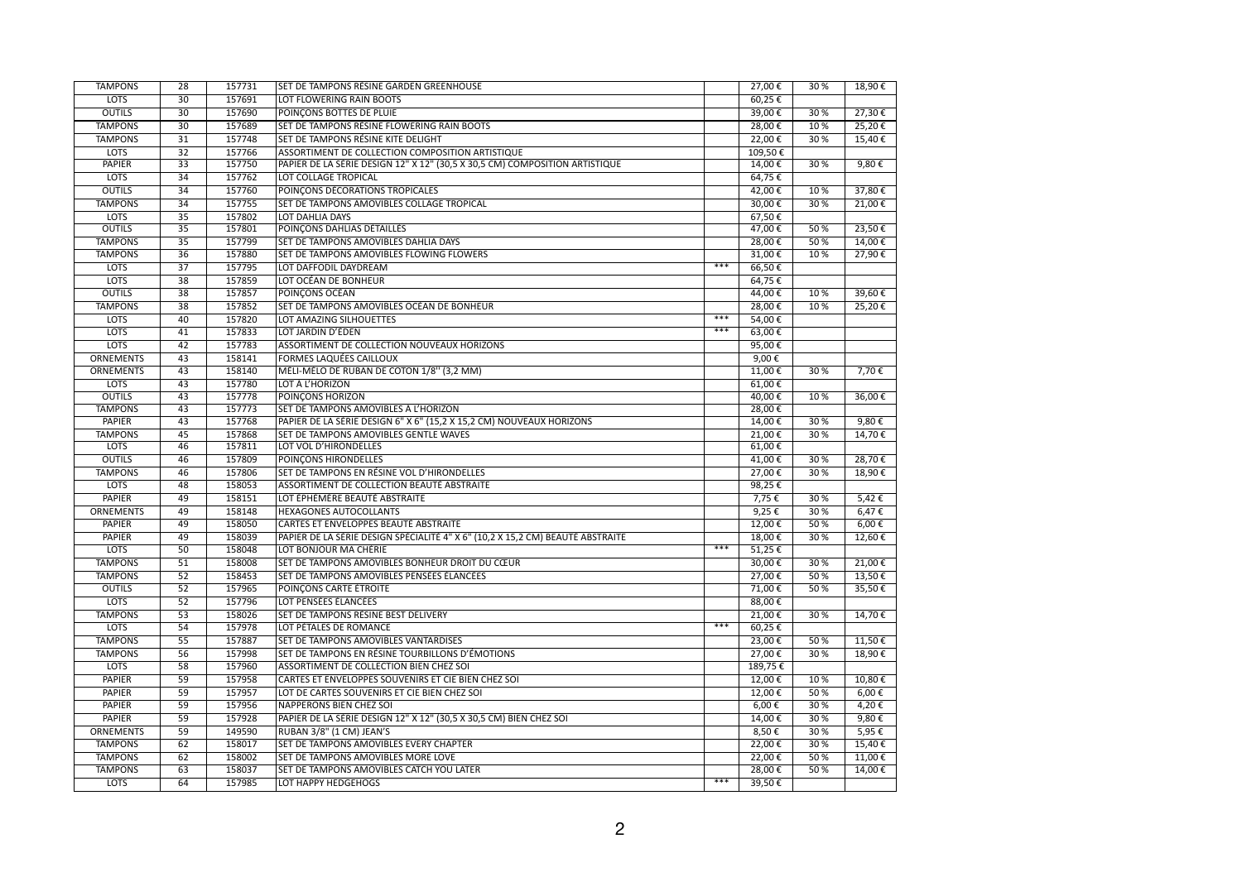| <b>TAMPONS</b>   | 28              | 157731 | SET DE TAMPONS RÉSINE GARDEN GREENHOUSE                                        |       | 27,00 €                     | 30%  | 18,90 €         |
|------------------|-----------------|--------|--------------------------------------------------------------------------------|-------|-----------------------------|------|-----------------|
| <b>LOTS</b>      | 30 <sup>°</sup> | 157691 | LOT FLOWERING RAIN BOOTS                                                       |       | $60,25 \in$                 |      |                 |
| <b>OUTILS</b>    | 30              | 157690 | POINÇONS BOTTES DE PLUIE                                                       |       | 39,00€                      | 30 % | 27,30€          |
| <b>TAMPONS</b>   | 30              | 157689 | SET DE TAMPONS RÉSINE FLOWERING RAIN BOOTS                                     |       | $28,00 \in$                 | 10%  | $25,20 \in$     |
| <b>TAMPONS</b>   | 31              | 157748 | SET DE TAMPONS RÉSINE KITE DELIGHT                                             |       | $22,00 \in$                 | 30%  | 15,40€          |
| <b>LOTS</b>      | 32              | 157766 | ASSORTIMENT DE COLLECTION COMPOSITION ARTISTIQUE                               |       | 109,50€                     |      |                 |
| <b>PAPIER</b>    | 33              | 157750 | PAPIER DE LA SÉRIE DESIGN 12" X 12" (30,5 X 30,5 CM) COMPOSITION ARTISTIQUE    |       | 14,00€                      | 30 % | 9,80 $\epsilon$ |
| <b>LOTS</b>      | $\overline{34}$ | 157762 | LOT COLLAGE TROPICAL                                                           |       | $64,75$ €                   |      |                 |
| <b>OUTILS</b>    | 34              | 157760 | POINÇONS DÉCORATIONS TROPICALES                                                |       | 42,00 €                     | 10%  | 37,80€          |
| <b>TAMPONS</b>   | 34              | 157755 | SET DE TAMPONS AMOVIBLES COLLAGE TROPICAL                                      |       | 30,00€                      | 30%  | 21,00 €         |
| <b>LOTS</b>      | 35              | 157802 | LOT DAHLIA DAYS                                                                |       | 67,50€                      |      |                 |
| <b>OUTILS</b>    | 35              | 157801 | POINÇONS DAHLIAS DÉTAILLÉS                                                     |       | 47,00€                      | 50 % | $23,50 \in$     |
| <b>TAMPONS</b>   | 35              | 157799 | <b>SET DE TAMPONS AMOVIBLES DAHLIA DAYS</b>                                    |       | 28,00€                      | 50%  | $14,00$ €       |
| <b>TAMPONS</b>   | 36              | 157880 | <b>SET DE TAMPONS AMOVIBLES FLOWING FLOWERS</b>                                |       | 31,00€                      | 10%  | 27,90 €         |
| <b>LOTS</b>      | $\overline{37}$ | 157795 | LOT DAFFODIL DAYDREAM                                                          | $***$ | 66,50€                      |      |                 |
| <b>LOTS</b>      | 38              | 157859 | LOT OCÉAN DE BONHEUR                                                           |       | 64,75€                      |      |                 |
| <b>OUTILS</b>    | $\overline{38}$ | 157857 | <b>POINÇONS OCÉAN</b>                                                          |       | 44,00€                      | 10%  | $39,60$ €       |
| <b>TAMPONS</b>   | 38              | 157852 | SET DE TAMPONS AMOVIBLES OCÉAN DE BONHEUR                                      |       | 28,00€                      | 10%  | 25,20€          |
| <b>LOTS</b>      | 40              | 157820 | LOT AMAZING SILHOUETTES                                                        | $***$ | 54,00€                      |      |                 |
| <b>LOTS</b>      | 41              | 157833 | LOT JARDIN D'ÉDEN                                                              | $***$ | 63,00€                      |      |                 |
| <b>LOTS</b>      | 42              | 157783 | ASSORTIMENT DE COLLECTION NOUVEAUX HORIZONS                                    |       | 95,00 $\epsilon$            |      |                 |
| <b>ORNEMENTS</b> | 43              | 158141 | <b>FORMES LAQUÉES CAILLOUX</b>                                                 |       | 9,00 $\epsilon$             |      |                 |
| <b>ORNEMENTS</b> | 43              | 158140 | MÉLI-MÉLO DE RUBAN DE COTON 1/8" (3,2 MM)                                      |       | 11,00 $\epsilon$            | 30 % | $7,70$ €        |
| <b>LOTS</b>      | 43              | 157780 | LOT À L'HORIZON                                                                |       | 61,00€                      |      |                 |
| <b>OUTILS</b>    | 43              | 157778 | <b>POINÇONS HORIZON</b>                                                        |       | 40,00 $\epsilon$            | 10%  | $36,00$ €       |
| <b>TAMPONS</b>   | 43              | 157773 | SET DE TAMPONS AMOVIBLES À L'HORIZON                                           |       | 28,00€                      |      |                 |
| <b>PAPIER</b>    | 43              | 157768 | PAPIER DE LA SÉRIE DESIGN 6" X 6" (15,2 X 15,2 CM) NOUVEAUX HORIZONS           |       | $14,00$ €                   | 30 % | 9,80 $\epsilon$ |
| <b>TAMPONS</b>   | 45              | 157868 | SET DE TAMPONS AMOVIBLES GENTLE WAVES                                          |       | 21,00€                      | 30%  | 14,70€          |
| <b>LOTS</b>      | 46              | 157811 | LOT VOL D'HIRONDELLES                                                          |       | 61,00€                      |      |                 |
| <b>OUTILS</b>    | 46              | 157809 | <b>POINCONS HIRONDELLES</b>                                                    |       | 41,00€                      | 30 % | 28,70€          |
| <b>TAMPONS</b>   | 46              | 157806 | SET DE TAMPONS EN RÉSINE VOL D'HIRONDELLES                                     |       | 27,00€                      | 30%  | 18,90 €         |
| <b>LOTS</b>      | 48              | 158053 | ASSORTIMENT DE COLLECTION BEAUTÉ ABSTRAITE                                     |       | 98,25€                      |      |                 |
| <b>PAPIER</b>    | 49              | 158151 | LOT ÉPHÉMÈRE BEAUTÉ ABSTRAITE                                                  |       | 7,75 $\epsilon$             | 30 % | $5,42 \in$      |
| <b>ORNEMENTS</b> | 49              | 158148 | <b>HEXAGONES AUTOCOLLANTS</b>                                                  |       | 9,25€                       | 30%  | 6,47€           |
| <b>PAPIER</b>    | 49              | 158050 | CARTES ET ENVELOPPES BEAUTÉ ABSTRAITE                                          |       | 12,00€                      | 50%  | $6,00 \in$      |
| <b>PAPIER</b>    | 49              | 158039 | PAPIER DE LA SÉRIE DESIGN SPÉCIALITÉ 4" X 6" (10,2 X 15,2 CM) BEAUTÉ ABSTRAITE |       | 18,00 €                     | 30 % | 12,60 €         |
| <b>LOTS</b>      | 50              | 158048 | LOT BONJOUR MA CHÉRIE                                                          | $***$ | 51,25€                      |      |                 |
| <b>TAMPONS</b>   | 51              | 158008 | SET DE TAMPONS AMOVIBLES BONHEUR DROIT DU CŒUR                                 |       | 30,00 €                     | 30 % | $21,00$ €       |
| <b>TAMPONS</b>   | 52              | 158453 | SET DE TAMPONS AMOVIBLES PENSÉES ÉLANCÉES                                      |       | 27,00 €                     | 50%  | $13,50$ €       |
| <b>OUTILS</b>    | 52              | 157965 | POINÇONS CARTE ÉTROITE                                                         |       | 71,00 €                     | 50%  | 35,50€          |
| <b>LOTS</b>      | $\overline{52}$ | 157796 | LOT PENSÉES ÉLANCÉES                                                           |       | 88,00 $\overline{\epsilon}$ |      |                 |
| <b>TAMPONS</b>   | 53              | 158026 | SET DE TAMPONS RÉSINE BEST DELIVERY                                            |       | 21,00€                      | 30 % | 14,70 €         |
| <b>LOTS</b>      | 54              | 157978 | LOT PÉTALES DE ROMANCE                                                         | $***$ | $60,25 \in$                 |      |                 |
| <b>TAMPONS</b>   | 55              | 157887 | SET DE TAMPONS AMOVIBLES VANTARDISES                                           |       | 23,00 €                     | 50%  | 11,50 €         |
| <b>TAMPONS</b>   | 56              | 157998 | SET DE TAMPONS EN RÉSINE TOURBILLONS D'ÉMOTIONS                                |       | 27,00 €                     | 30%  | 18,90 €         |
| <b>LOTS</b>      | 58              | 157960 | ASSORTIMENT DE COLLECTION BIEN CHEZ SOI                                        |       | 189,75€                     |      |                 |
| <b>PAPIER</b>    | 59              | 157958 | CARTES ET ENVELOPPES SOUVENIRS ET CIE BIEN CHEZ SOI                            |       | $12,00$ €                   | 10%  | 10,80€          |
| <b>PAPIER</b>    | 59              | 157957 | LOT DE CARTES SOUVENIRS ET CIE BIEN CHEZ SOI                                   |       | 12,00€                      | 50 % | $6,00 \in$      |
| <b>PAPIER</b>    | $\overline{59}$ | 157956 | NAPPERONS BIEN CHEZ SOI                                                        |       | $6,00 \in$                  | 30 % | 4,20€           |
| <b>PAPIER</b>    | 59              | 157928 | PAPIER DE LA SÉRIE DESIGN 12" X 12" (30,5 X 30,5 CM) BIEN CHEZ SOI             |       | 14,00 €                     | 30%  | 9,80 $\epsilon$ |
| <b>ORNEMENTS</b> | 59              | 149590 | RUBAN 3/8" (1 CM) JEAN'S                                                       |       | 8,50€                       | 30 % | $5,95 \in$      |
| <b>TAMPONS</b>   | 62              | 158017 | <b>SET DE TAMPONS AMOVIBLES EVERY CHAPTER</b>                                  |       | 22,00€                      | 30%  | 15,40 €         |
| <b>TAMPONS</b>   | 62              | 158002 | SET DE TAMPONS AMOVIBLES MORE LOVE                                             |       | 22,00 €                     | 50 % | 11,00 €         |
| <b>TAMPONS</b>   | 63              | 158037 | <b>SET DE TAMPONS AMOVIBLES CATCH YOU LATER</b>                                |       | 28,00€                      | 50%  | 14,00€          |
| <b>LOTS</b>      | 64              | 157985 | LOT HAPPY HEDGEHOGS                                                            | $***$ | 39,50€                      |      |                 |
|                  |                 |        |                                                                                |       |                             |      |                 |